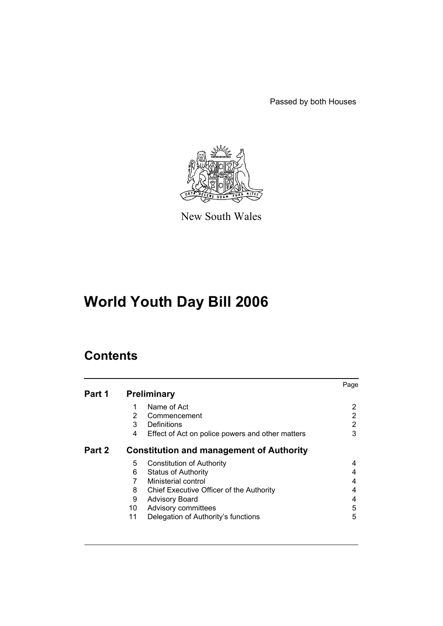Passed by both Houses



New South Wales

# **World Youth Day Bill 2006**

# **Contents**

|        |    |                                                  | Page |
|--------|----|--------------------------------------------------|------|
| Part 1 |    | <b>Preliminary</b>                               |      |
|        | 1  | Name of Act                                      | 2    |
|        | 2  | Commencement                                     | 2    |
|        | 3  | Definitions                                      | 2    |
|        | 4  | Effect of Act on police powers and other matters | 3    |
| Part 2 |    | <b>Constitution and management of Authority</b>  |      |
|        | 5  | <b>Constitution of Authority</b>                 | 4    |
|        | 6  | <b>Status of Authority</b>                       | 4    |
|        | 7  | Ministerial control                              | 4    |
|        | 8. | Chief Executive Officer of the Authority         | 4    |
|        | 9  | <b>Advisory Board</b>                            | 4    |
|        | 10 | Advisory committees                              | 5    |
|        | 11 | Delegation of Authority's functions              | 5    |
|        |    |                                                  |      |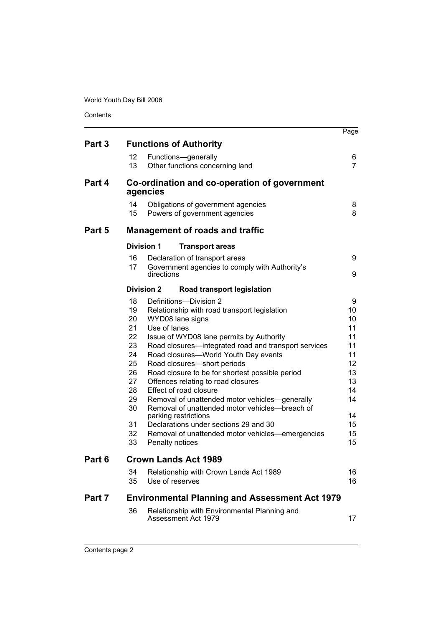World Youth Day Bill 2006

| Contents |  |
|----------|--|
|          |  |

|        |                                                                                                                                                                                                                                                                                                                                                                                                                                                                                                                                                                                                                                                                                                                                                      | Page                                                                                        |
|--------|------------------------------------------------------------------------------------------------------------------------------------------------------------------------------------------------------------------------------------------------------------------------------------------------------------------------------------------------------------------------------------------------------------------------------------------------------------------------------------------------------------------------------------------------------------------------------------------------------------------------------------------------------------------------------------------------------------------------------------------------------|---------------------------------------------------------------------------------------------|
| Part 3 | <b>Functions of Authority</b>                                                                                                                                                                                                                                                                                                                                                                                                                                                                                                                                                                                                                                                                                                                        |                                                                                             |
|        | 12<br>Functions-generally<br>13<br>Other functions concerning land                                                                                                                                                                                                                                                                                                                                                                                                                                                                                                                                                                                                                                                                                   | 6<br>$\overline{7}$                                                                         |
| Part 4 | Co-ordination and co-operation of government<br>agencies                                                                                                                                                                                                                                                                                                                                                                                                                                                                                                                                                                                                                                                                                             |                                                                                             |
|        | 14<br>Obligations of government agencies<br>15<br>Powers of government agencies                                                                                                                                                                                                                                                                                                                                                                                                                                                                                                                                                                                                                                                                      | 8<br>8                                                                                      |
| Part 5 | <b>Management of roads and traffic</b>                                                                                                                                                                                                                                                                                                                                                                                                                                                                                                                                                                                                                                                                                                               |                                                                                             |
|        | <b>Division 1</b><br><b>Transport areas</b>                                                                                                                                                                                                                                                                                                                                                                                                                                                                                                                                                                                                                                                                                                          |                                                                                             |
|        | 16<br>Declaration of transport areas                                                                                                                                                                                                                                                                                                                                                                                                                                                                                                                                                                                                                                                                                                                 | 9                                                                                           |
|        | 17<br>Government agencies to comply with Authority's<br>directions                                                                                                                                                                                                                                                                                                                                                                                                                                                                                                                                                                                                                                                                                   | 9                                                                                           |
|        | <b>Division 2</b><br>Road transport legislation                                                                                                                                                                                                                                                                                                                                                                                                                                                                                                                                                                                                                                                                                                      |                                                                                             |
|        | 18<br>Definitions-Division 2<br>19<br>Relationship with road transport legislation<br>20<br>WYD08 lane signs<br>21<br>Use of lanes<br>22<br>Issue of WYD08 lane permits by Authority<br>23<br>Road closures-integrated road and transport services<br>Road closures-World Youth Day events<br>24<br>Road closures-short periods<br>25<br>26<br>Road closure to be for shortest possible period<br>27<br>Offences relating to road closures<br>28<br>Effect of road closure<br>29<br>Removal of unattended motor vehicles—generally<br>30<br>Removal of unattended motor vehicles-breach of<br>parking restrictions<br>Declarations under sections 29 and 30<br>31<br>32<br>Removal of unattended motor vehicles—emergencies<br>33<br>Penalty notices | 9<br>10<br>10<br>11<br>11<br>11<br>11<br>12<br>13<br>13<br>14<br>14<br>14<br>15<br>15<br>15 |
| Part 6 | <b>Crown Lands Act 1989</b>                                                                                                                                                                                                                                                                                                                                                                                                                                                                                                                                                                                                                                                                                                                          |                                                                                             |
|        | Relationship with Crown Lands Act 1989<br>34<br>Use of reserves<br>35                                                                                                                                                                                                                                                                                                                                                                                                                                                                                                                                                                                                                                                                                | 16<br>16                                                                                    |
| Part 7 | <b>Environmental Planning and Assessment Act 1979</b>                                                                                                                                                                                                                                                                                                                                                                                                                                                                                                                                                                                                                                                                                                |                                                                                             |
|        | 36<br>Relationship with Environmental Planning and<br>Assessment Act 1979                                                                                                                                                                                                                                                                                                                                                                                                                                                                                                                                                                                                                                                                            | 17                                                                                          |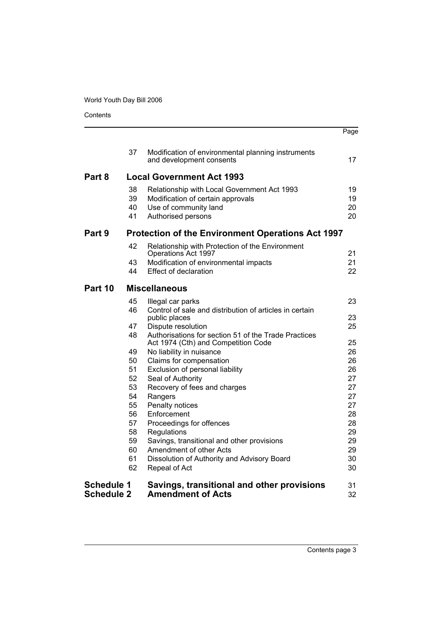# World Youth Day Bill 2006

**Contents** 

|                                        |                                                          |                                                                                                                                 | Page                 |
|----------------------------------------|----------------------------------------------------------|---------------------------------------------------------------------------------------------------------------------------------|----------------------|
|                                        | 37                                                       | Modification of environmental planning instruments<br>and development consents                                                  | 17                   |
| Part 8                                 |                                                          | <b>Local Government Act 1993</b>                                                                                                |                      |
|                                        | 38<br>39<br>40<br>41                                     | Relationship with Local Government Act 1993<br>Modification of certain approvals<br>Use of community land<br>Authorised persons | 19<br>19<br>20<br>20 |
| Part 9                                 | <b>Protection of the Environment Operations Act 1997</b> |                                                                                                                                 |                      |
|                                        | 42                                                       | Relationship with Protection of the Environment<br>Operations Act 1997                                                          | 21                   |
|                                        | 43                                                       | Modification of environmental impacts                                                                                           | 21                   |
|                                        | 44                                                       | <b>Effect of declaration</b>                                                                                                    | 22                   |
| Part 10                                |                                                          | <b>Miscellaneous</b>                                                                                                            |                      |
|                                        | 45                                                       | Illegal car parks                                                                                                               | 23                   |
|                                        | 46                                                       | Control of sale and distribution of articles in certain<br>public places                                                        | 23                   |
|                                        | 47                                                       | Dispute resolution                                                                                                              | 25                   |
|                                        | 48                                                       | Authorisations for section 51 of the Trade Practices<br>Act 1974 (Cth) and Competition Code                                     | 25                   |
|                                        | 49                                                       | No liability in nuisance                                                                                                        | 26                   |
|                                        | 50                                                       | Claims for compensation                                                                                                         | 26                   |
|                                        | 51                                                       | Exclusion of personal liability                                                                                                 | 26                   |
|                                        | 52<br>53                                                 | Seal of Authority                                                                                                               | 27<br>27             |
|                                        | 54                                                       | Recovery of fees and charges<br>Rangers                                                                                         | 27                   |
|                                        | 55                                                       | Penalty notices                                                                                                                 | 27                   |
|                                        | 56                                                       | Enforcement                                                                                                                     | 28                   |
|                                        | 57                                                       | Proceedings for offences                                                                                                        | 28                   |
|                                        | 58                                                       | Regulations                                                                                                                     | 29                   |
|                                        | 59                                                       | Savings, transitional and other provisions                                                                                      | 29                   |
|                                        | 60<br>61                                                 | Amendment of other Acts                                                                                                         | 29<br>30             |
|                                        | 62                                                       | Dissolution of Authority and Advisory Board<br>Repeal of Act                                                                    | 30                   |
| <b>Schedule 1</b><br><b>Schedule 2</b> |                                                          | Savings, transitional and other provisions<br><b>Amendment of Acts</b>                                                          | 31<br>32             |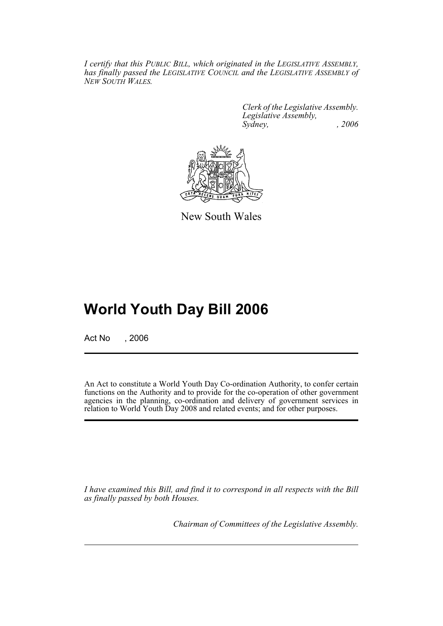*I certify that this PUBLIC BILL, which originated in the LEGISLATIVE ASSEMBLY, has finally passed the LEGISLATIVE COUNCIL and the LEGISLATIVE ASSEMBLY of NEW SOUTH WALES.*

> *Clerk of the Legislative Assembly. Legislative Assembly, Sydney, , 2006*



New South Wales

# **World Youth Day Bill 2006**

Act No . 2006

An Act to constitute a World Youth Day Co-ordination Authority, to confer certain functions on the Authority and to provide for the co-operation of other government agencies in the planning, co-ordination and delivery of government services in relation to World Youth Day 2008 and related events; and for other purposes.

*I have examined this Bill, and find it to correspond in all respects with the Bill as finally passed by both Houses.*

*Chairman of Committees of the Legislative Assembly.*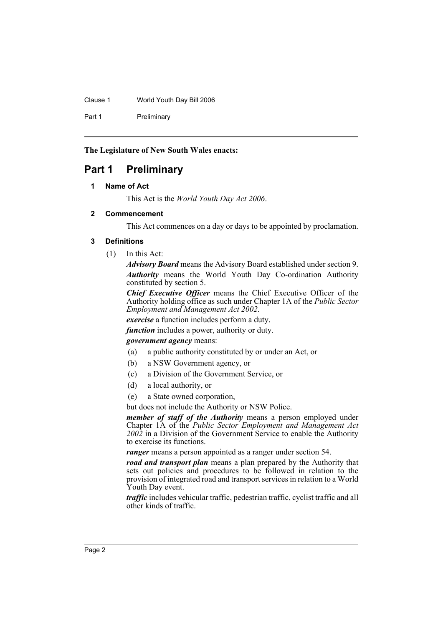Clause 1 World Youth Day Bill 2006

Part 1 Preliminary

**The Legislature of New South Wales enacts:**

# **Part 1 Preliminary**

### **1 Name of Act**

This Act is the *World Youth Day Act 2006*.

### **2 Commencement**

This Act commences on a day or days to be appointed by proclamation.

### **3 Definitions**

(1) In this Act:

*Advisory Board* means the Advisory Board established under section 9. *Authority* means the World Youth Day Co-ordination Authority constituted by section 5.

*Chief Executive Officer* means the Chief Executive Officer of the Authority holding office as such under Chapter 1A of the *Public Sector Employment and Management Act 2002*.

*exercise* a function includes perform a duty.

*function* includes a power, authority or duty.

#### *government agency* means:

- (a) a public authority constituted by or under an Act, or
- (b) a NSW Government agency, or
- (c) a Division of the Government Service, or
- (d) a local authority, or
- (e) a State owned corporation,

but does not include the Authority or NSW Police.

*member of staff of the Authority* means a person employed under Chapter 1A of the *Public Sector Employment and Management Act 2002* in a Division of the Government Service to enable the Authority to exercise its functions.

*ranger* means a person appointed as a ranger under section 54.

*road and transport plan* means a plan prepared by the Authority that sets out policies and procedures to be followed in relation to the provision of integrated road and transport services in relation to a World Youth Day event.

*traffic* includes vehicular traffic, pedestrian traffic, cyclist traffic and all other kinds of traffic.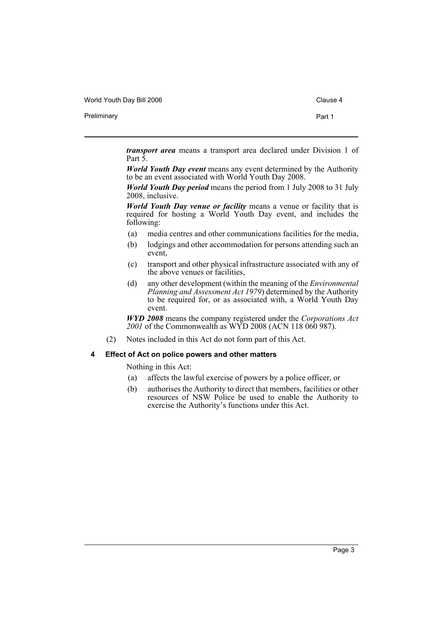World Youth Day Bill 2006 Clause 4

Preliminary **Preliminary Part 1** 

*transport area* means a transport area declared under Division 1 of Part 5.

*World Youth Day event* means any event determined by the Authority to be an event associated with World Youth Day 2008.

*World Youth Day period* means the period from 1 July 2008 to 31 July 2008, inclusive.

*World Youth Day venue or facility* means a venue or facility that is required for hosting a World Youth Day event, and includes the following:

- (a) media centres and other communications facilities for the media,
- (b) lodgings and other accommodation for persons attending such an event,
- (c) transport and other physical infrastructure associated with any of the above venues or facilities,
- (d) any other development (within the meaning of the *Environmental Planning and Assessment Act 1979*) determined by the Authority to be required for, or as associated with, a World Youth Day event.

*WYD 2008* means the company registered under the *Corporations Act 2001* of the Commonwealth as WYD 2008 (ACN 118 060 987).

(2) Notes included in this Act do not form part of this Act.

#### **4 Effect of Act on police powers and other matters**

Nothing in this Act:

- (a) affects the lawful exercise of powers by a police officer, or
- (b) authorises the Authority to direct that members, facilities or other resources of NSW Police be used to enable the Authority to exercise the Authority's functions under this Act.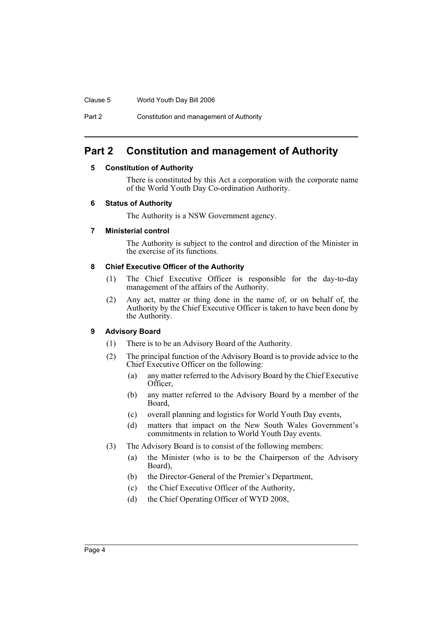#### Clause 5 World Youth Day Bill 2006

Part 2 Constitution and management of Authority

# **Part 2 Constitution and management of Authority**

### **5 Constitution of Authority**

There is constituted by this Act a corporation with the corporate name of the World Youth Day Co-ordination Authority.

### **6 Status of Authority**

The Authority is a NSW Government agency.

### **7 Ministerial control**

The Authority is subject to the control and direction of the Minister in the exercise of its functions.

# **8 Chief Executive Officer of the Authority**

- (1) The Chief Executive Officer is responsible for the day-to-day management of the affairs of the Authority.
- (2) Any act, matter or thing done in the name of, or on behalf of, the Authority by the Chief Executive Officer is taken to have been done by the Authority.

# **9 Advisory Board**

- (1) There is to be an Advisory Board of the Authority.
- (2) The principal function of the Advisory Board is to provide advice to the Chief Executive Officer on the following:
	- (a) any matter referred to the Advisory Board by the Chief Executive Officer,
	- (b) any matter referred to the Advisory Board by a member of the Board,
	- (c) overall planning and logistics for World Youth Day events,
	- (d) matters that impact on the New South Wales Government's commitments in relation to World Youth Day events.
- (3) The Advisory Board is to consist of the following members:
	- (a) the Minister (who is to be the Chairperson of the Advisory Board),
	- (b) the Director-General of the Premier's Department,
	- (c) the Chief Executive Officer of the Authority,
	- (d) the Chief Operating Officer of WYD 2008,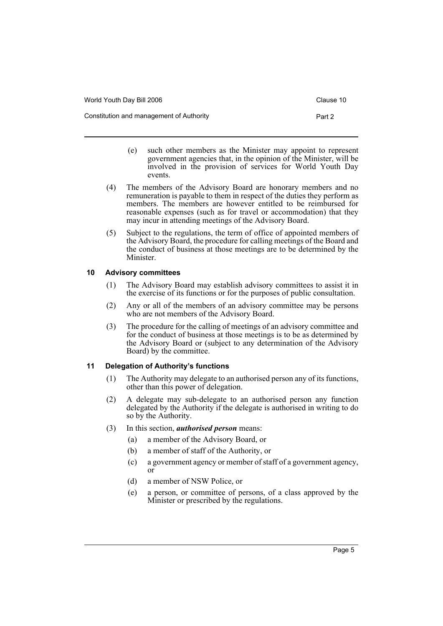Constitution and management of Authority **Part 2** Part 2

- (e) such other members as the Minister may appoint to represent government agencies that, in the opinion of the Minister, will be involved in the provision of services for World Youth Day events.
- (4) The members of the Advisory Board are honorary members and no remuneration is payable to them in respect of the duties they perform as members. The members are however entitled to be reimbursed for reasonable expenses (such as for travel or accommodation) that they may incur in attending meetings of the Advisory Board.
- (5) Subject to the regulations, the term of office of appointed members of the Advisory Board, the procedure for calling meetings of the Board and the conduct of business at those meetings are to be determined by the Minister.

# **10 Advisory committees**

- (1) The Advisory Board may establish advisory committees to assist it in the exercise of its functions or for the purposes of public consultation.
- (2) Any or all of the members of an advisory committee may be persons who are not members of the Advisory Board.
- (3) The procedure for the calling of meetings of an advisory committee and for the conduct of business at those meetings is to be as determined by the Advisory Board or (subject to any determination of the Advisory Board) by the committee.

# **11 Delegation of Authority's functions**

- (1) The Authority may delegate to an authorised person any of its functions, other than this power of delegation.
- (2) A delegate may sub-delegate to an authorised person any function delegated by the Authority if the delegate is authorised in writing to do so by the Authority.
- (3) In this section, *authorised person* means:
	- (a) a member of the Advisory Board, or
	- (b) a member of staff of the Authority, or
	- (c) a government agency or member of staff of a government agency, or
	- (d) a member of NSW Police, or
	- (e) a person, or committee of persons, of a class approved by the Minister or prescribed by the regulations.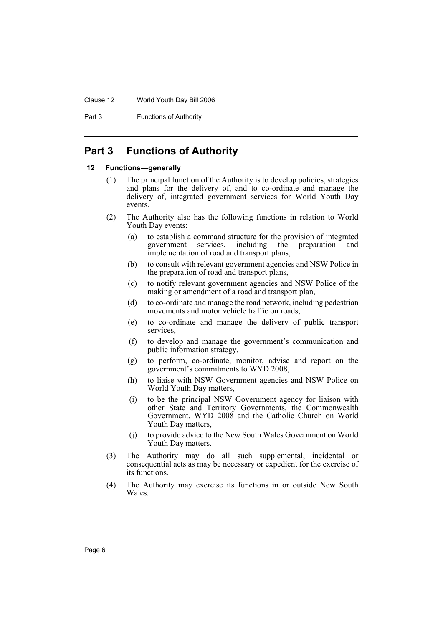#### Clause 12 World Youth Day Bill 2006

Part 3 **Functions of Authority** 

# **Part 3 Functions of Authority**

# **12 Functions—generally**

- (1) The principal function of the Authority is to develop policies, strategies and plans for the delivery of, and to co-ordinate and manage the delivery of, integrated government services for World Youth Day events.
- (2) The Authority also has the following functions in relation to World Youth Day events:
	- (a) to establish a command structure for the provision of integrated government services, including the preparation and government services, including the preparation and implementation of road and transport plans,
	- (b) to consult with relevant government agencies and NSW Police in the preparation of road and transport plans,
	- (c) to notify relevant government agencies and NSW Police of the making or amendment of a road and transport plan,
	- (d) to co-ordinate and manage the road network, including pedestrian movements and motor vehicle traffic on roads,
	- (e) to co-ordinate and manage the delivery of public transport services,
	- (f) to develop and manage the government's communication and public information strategy,
	- (g) to perform, co-ordinate, monitor, advise and report on the government's commitments to WYD 2008,
	- (h) to liaise with NSW Government agencies and NSW Police on World Youth Day matters,
	- (i) to be the principal NSW Government agency for liaison with other State and Territory Governments, the Commonwealth Government, WYD 2008 and the Catholic Church on World Youth Day matters,
	- (j) to provide advice to the New South Wales Government on World Youth Day matters.
- (3) The Authority may do all such supplemental, incidental or consequential acts as may be necessary or expedient for the exercise of its functions.
- (4) The Authority may exercise its functions in or outside New South **Wales**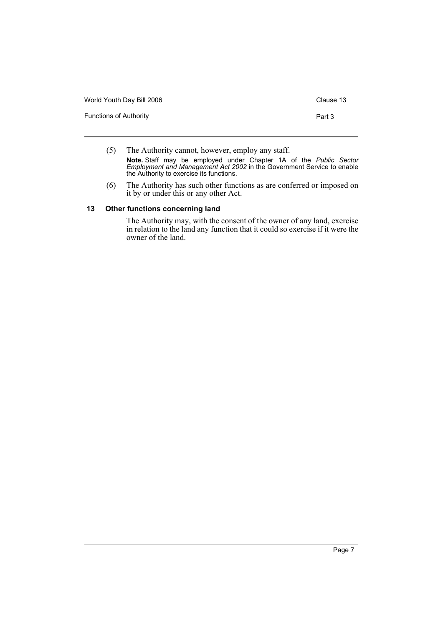| World Youth Day Bill 2006     | Clause 13 |
|-------------------------------|-----------|
| <b>Functions of Authority</b> | Part 3    |

- (5) The Authority cannot, however, employ any staff. **Note.** Staff may be employed under Chapter 1A of the *Public Sector Employment and Management Act 2002* in the Government Service to enable the Authority to exercise its functions.
- (6) The Authority has such other functions as are conferred or imposed on it by or under this or any other Act.

# **13 Other functions concerning land**

The Authority may, with the consent of the owner of any land, exercise in relation to the land any function that it could so exercise if it were the owner of the land.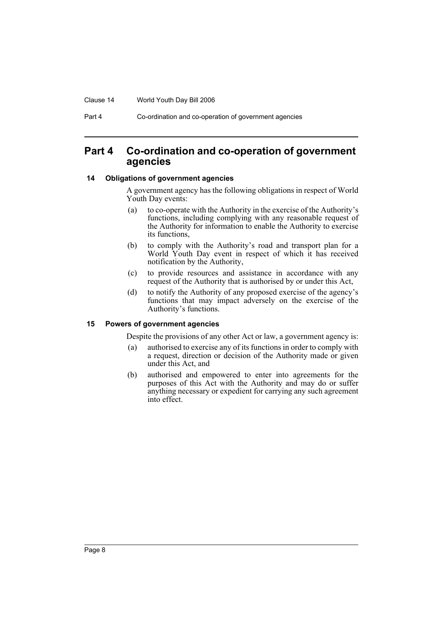#### Clause 14 World Youth Day Bill 2006

Part 4 Co-ordination and co-operation of government agencies

# **Part 4 Co-ordination and co-operation of government agencies**

#### **14 Obligations of government agencies**

A government agency has the following obligations in respect of World Youth Day events:

- (a) to co-operate with the Authority in the exercise of the Authority's functions, including complying with any reasonable request of the Authority for information to enable the Authority to exercise its functions,
- (b) to comply with the Authority's road and transport plan for a World Youth Day event in respect of which it has received notification by the Authority,
- (c) to provide resources and assistance in accordance with any request of the Authority that is authorised by or under this Act,
- (d) to notify the Authority of any proposed exercise of the agency's functions that may impact adversely on the exercise of the Authority's functions.

#### **15 Powers of government agencies**

Despite the provisions of any other Act or law, a government agency is:

- (a) authorised to exercise any of its functions in order to comply with a request, direction or decision of the Authority made or given under this Act, and
- (b) authorised and empowered to enter into agreements for the purposes of this Act with the Authority and may do or suffer anything necessary or expedient for carrying any such agreement into effect.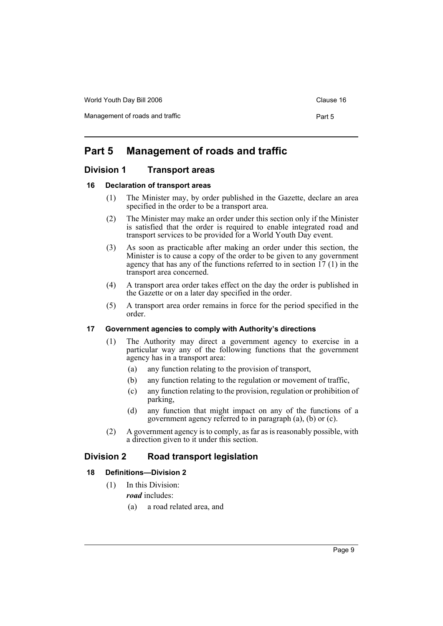World Youth Day Bill 2006 Controller Controller Clause 16

Management of roads and traffic **Part 5** Part 5

# **Part 5 Management of roads and traffic**

# **Division 1 Transport areas**

### **16 Declaration of transport areas**

- (1) The Minister may, by order published in the Gazette, declare an area specified in the order to be a transport area.
- (2) The Minister may make an order under this section only if the Minister is satisfied that the order is required to enable integrated road and transport services to be provided for a World Youth Day event.
- (3) As soon as practicable after making an order under this section, the Minister is to cause a copy of the order to be given to any government agency that has any of the functions referred to in section 17 (1) in the transport area concerned.
- (4) A transport area order takes effect on the day the order is published in the Gazette or on a later day specified in the order.
- (5) A transport area order remains in force for the period specified in the order.

## **17 Government agencies to comply with Authority's directions**

- (1) The Authority may direct a government agency to exercise in a particular way any of the following functions that the government agency has in a transport area:
	- (a) any function relating to the provision of transport,
	- (b) any function relating to the regulation or movement of traffic,
	- (c) any function relating to the provision, regulation or prohibition of parking,
	- (d) any function that might impact on any of the functions of a government agency referred to in paragraph (a), (b) or (c).
- (2) A government agency is to comply, as far as is reasonably possible, with a direction given to it under this section.

# **Division 2 Road transport legislation**

# **18 Definitions—Division 2**

- (1) In this Division: *road* includes:
	- (a) a road related area, and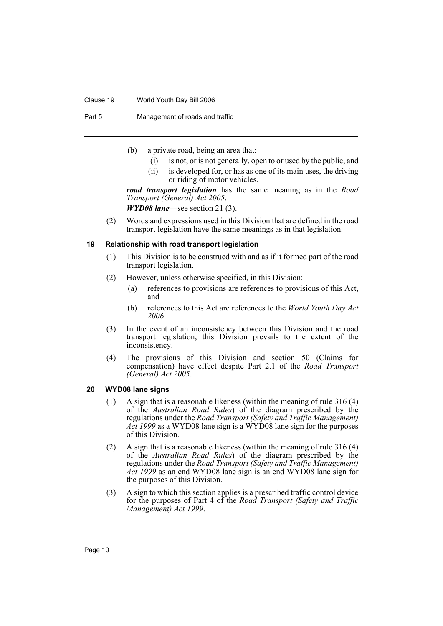#### Clause 19 World Youth Day Bill 2006

Part 5 Management of roads and traffic

- (b) a private road, being an area that:
	- (i) is not, or is not generally, open to or used by the public, and
	- (ii) is developed for, or has as one of its main uses, the driving or riding of motor vehicles.

*road transport legislation* has the same meaning as in the *Road Transport (General) Act 2005*.

*WYD08 lane*—see section 21 (3).

(2) Words and expressions used in this Division that are defined in the road transport legislation have the same meanings as in that legislation.

#### **19 Relationship with road transport legislation**

- (1) This Division is to be construed with and as if it formed part of the road transport legislation.
- (2) However, unless otherwise specified, in this Division:
	- (a) references to provisions are references to provisions of this Act, and
	- (b) references to this Act are references to the *World Youth Day Act 2006*.
- (3) In the event of an inconsistency between this Division and the road transport legislation, this Division prevails to the extent of the inconsistency.
- (4) The provisions of this Division and section 50 (Claims for compensation) have effect despite Part 2.1 of the *Road Transport (General) Act 2005*.

#### **20 WYD08 lane signs**

- (1) A sign that is a reasonable likeness (within the meaning of rule 316 (4) of the *Australian Road Rules*) of the diagram prescribed by the regulations under the *Road Transport (Safety and Traffic Management) Act 1999* as a WYD08 lane sign is a WYD08 lane sign for the purposes of this Division.
- (2) A sign that is a reasonable likeness (within the meaning of rule 316 (4) of the *Australian Road Rules*) of the diagram prescribed by the regulations under the *Road Transport (Safety and Traffic Management) Act 1999* as an end WYD08 lane sign is an end WYD08 lane sign for the purposes of this Division.
- (3) A sign to which this section applies is a prescribed traffic control device for the purposes of Part 4 of the *Road Transport (Safety and Traffic Management) Act 1999*.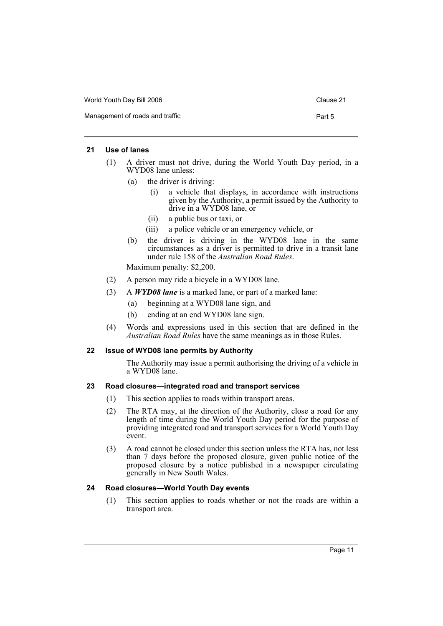| World Youth Day Bill 2006       | Clause 21 |
|---------------------------------|-----------|
| Management of roads and traffic | Part 5    |

#### **21 Use of lanes**

- (1) A driver must not drive, during the World Youth Day period, in a WYD08 lane unless:
	- (a) the driver is driving:
		- (i) a vehicle that displays, in accordance with instructions given by the Authority, a permit issued by the Authority to drive in a WYD08 lane, or
		- (ii) a public bus or taxi, or
		- (iii) a police vehicle or an emergency vehicle, or
	- (b) the driver is driving in the WYD08 lane in the same circumstances as a driver is permitted to drive in a transit lane under rule 158 of the *Australian Road Rules*.

Maximum penalty: \$2,200.

- (2) A person may ride a bicycle in a WYD08 lane.
- (3) A *WYD08 lane* is a marked lane, or part of a marked lane:
	- (a) beginning at a WYD08 lane sign, and
	- (b) ending at an end WYD08 lane sign.
- (4) Words and expressions used in this section that are defined in the *Australian Road Rules* have the same meanings as in those Rules.

## **22 Issue of WYD08 lane permits by Authority**

The Authority may issue a permit authorising the driving of a vehicle in a WYD08 lane.

### **23 Road closures—integrated road and transport services**

- (1) This section applies to roads within transport areas.
- (2) The RTA may, at the direction of the Authority, close a road for any length of time during the World Youth Day period for the purpose of providing integrated road and transport services for a World Youth Day event.
- (3) A road cannot be closed under this section unless the RTA has, not less than 7 days before the proposed closure, given public notice of the proposed closure by a notice published in a newspaper circulating generally in New South Wales.

# **24 Road closures—World Youth Day events**

(1) This section applies to roads whether or not the roads are within a transport area.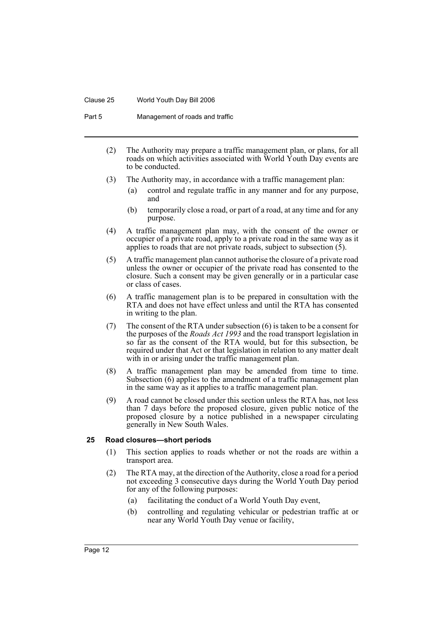#### Clause 25 World Youth Day Bill 2006

Part 5 Management of roads and traffic

- (2) The Authority may prepare a traffic management plan, or plans, for all roads on which activities associated with World Youth Day events are to be conducted.
- (3) The Authority may, in accordance with a traffic management plan:
	- (a) control and regulate traffic in any manner and for any purpose, and
	- (b) temporarily close a road, or part of a road, at any time and for any purpose.
- (4) A traffic management plan may, with the consent of the owner or occupier of a private road, apply to a private road in the same way as it applies to roads that are not private roads, subject to subsection (5).
- (5) A traffic management plan cannot authorise the closure of a private road unless the owner or occupier of the private road has consented to the closure. Such a consent may be given generally or in a particular case or class of cases.
- (6) A traffic management plan is to be prepared in consultation with the RTA and does not have effect unless and until the RTA has consented in writing to the plan.
- (7) The consent of the RTA under subsection (6) is taken to be a consent for the purposes of the *Roads Act 1993* and the road transport legislation in so far as the consent of the RTA would, but for this subsection, be required under that Act or that legislation in relation to any matter dealt with in or arising under the traffic management plan.
- (8) A traffic management plan may be amended from time to time. Subsection (6) applies to the amendment of a traffic management plan in the same way as it applies to a traffic management plan.
- (9) A road cannot be closed under this section unless the RTA has, not less than 7 days before the proposed closure, given public notice of the proposed closure by a notice published in a newspaper circulating generally in New South Wales.

#### **25 Road closures—short periods**

- (1) This section applies to roads whether or not the roads are within a transport area.
- (2) The RTA may, at the direction of the Authority, close a road for a period not exceeding 3 consecutive days during the World Youth Day period for any of the following purposes:
	- (a) facilitating the conduct of a World Youth Day event,
	- (b) controlling and regulating vehicular or pedestrian traffic at or near any World Youth Day venue or facility,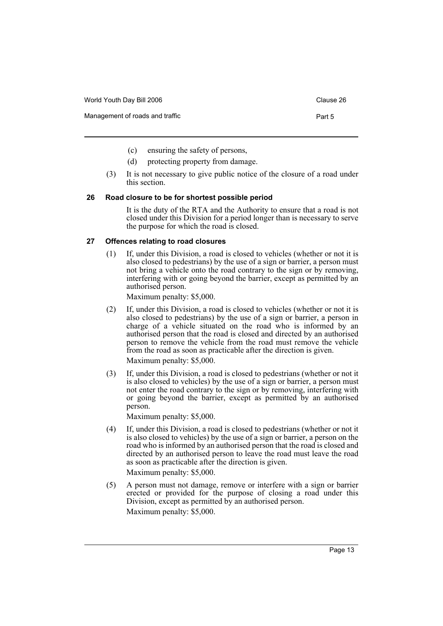| World Youth Day Bill 2006       | Clause 26 |
|---------------------------------|-----------|
| Management of roads and traffic | Part 5    |
|                                 |           |

- (c) ensuring the safety of persons,
- (d) protecting property from damage.
- (3) It is not necessary to give public notice of the closure of a road under this section.

## **26 Road closure to be for shortest possible period**

It is the duty of the RTA and the Authority to ensure that a road is not closed under this Division for a period longer than is necessary to serve the purpose for which the road is closed.

#### **27 Offences relating to road closures**

(1) If, under this Division, a road is closed to vehicles (whether or not it is also closed to pedestrians) by the use of a sign or barrier, a person must not bring a vehicle onto the road contrary to the sign or by removing, interfering with or going beyond the barrier, except as permitted by an authorised person.

Maximum penalty: \$5,000.

- (2) If, under this Division, a road is closed to vehicles (whether or not it is also closed to pedestrians) by the use of a sign or barrier, a person in charge of a vehicle situated on the road who is informed by an authorised person that the road is closed and directed by an authorised person to remove the vehicle from the road must remove the vehicle from the road as soon as practicable after the direction is given. Maximum penalty: \$5,000.
- (3) If, under this Division, a road is closed to pedestrians (whether or not it is also closed to vehicles) by the use of a sign or barrier, a person must not enter the road contrary to the sign or by removing, interfering with or going beyond the barrier, except as permitted by an authorised person.

Maximum penalty: \$5,000.

- (4) If, under this Division, a road is closed to pedestrians (whether or not it is also closed to vehicles) by the use of a sign or barrier, a person on the road who is informed by an authorised person that the road is closed and directed by an authorised person to leave the road must leave the road as soon as practicable after the direction is given. Maximum penalty: \$5,000.
- (5) A person must not damage, remove or interfere with a sign or barrier erected or provided for the purpose of closing a road under this Division, except as permitted by an authorised person. Maximum penalty: \$5,000.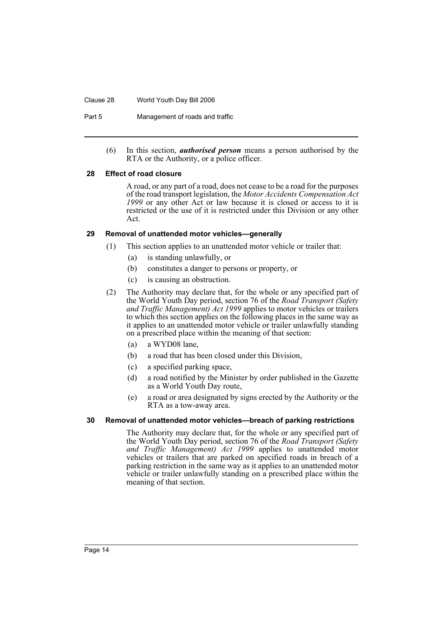#### Clause 28 World Youth Day Bill 2006

Part 5 Management of roads and traffic

(6) In this section, *authorised person* means a person authorised by the RTA or the Authority, or a police officer.

#### **28 Effect of road closure**

A road, or any part of a road, does not cease to be a road for the purposes of the road transport legislation, the *Motor Accidents Compensation Act 1999* or any other Act or law because it is closed or access to it is restricted or the use of it is restricted under this Division or any other Act.

### **29 Removal of unattended motor vehicles—generally**

- (1) This section applies to an unattended motor vehicle or trailer that:
	- (a) is standing unlawfully, or
	- (b) constitutes a danger to persons or property, or
	- (c) is causing an obstruction.
- (2) The Authority may declare that, for the whole or any specified part of the World Youth Day period, section 76 of the *Road Transport (Safety and Traffic Management) Act 1999* applies to motor vehicles or trailers to which this section applies on the following places in the same way as it applies to an unattended motor vehicle or trailer unlawfully standing on a prescribed place within the meaning of that section:
	- (a) a WYD08 lane,
	- (b) a road that has been closed under this Division,
	- (c) a specified parking space,
	- (d) a road notified by the Minister by order published in the Gazette as a World Youth Day route,
	- (e) a road or area designated by signs erected by the Authority or the RTA as a tow-away area.

## **30 Removal of unattended motor vehicles—breach of parking restrictions**

The Authority may declare that, for the whole or any specified part of the World Youth Day period, section 76 of the *Road Transport (Safety and Traffic Management) Act 1999* applies to unattended motor vehicles or trailers that are parked on specified roads in breach of a parking restriction in the same way as it applies to an unattended motor vehicle or trailer unlawfully standing on a prescribed place within the meaning of that section.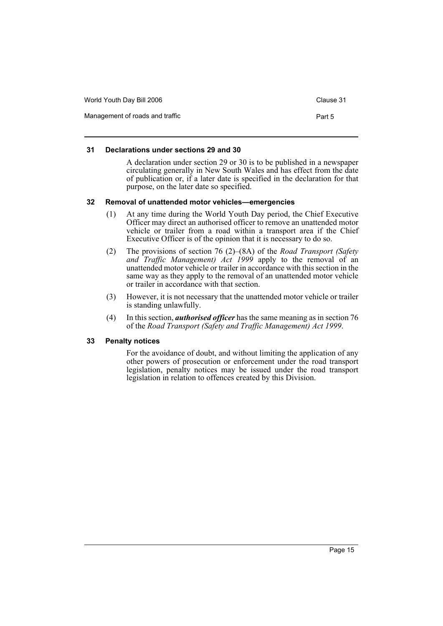| World Youth Day Bill 2006       | Clause 31 |
|---------------------------------|-----------|
| Management of roads and traffic | Part 5    |

### **31 Declarations under sections 29 and 30**

A declaration under section 29 or 30 is to be published in a newspaper circulating generally in New South Wales and has effect from the date of publication or, if a later date is specified in the declaration for that purpose, on the later date so specified.

### **32 Removal of unattended motor vehicles—emergencies**

- (1) At any time during the World Youth Day period, the Chief Executive Officer may direct an authorised officer to remove an unattended motor vehicle or trailer from a road within a transport area if the Chief Executive Officer is of the opinion that it is necessary to do so.
- (2) The provisions of section 76 (2)–(8A) of the *Road Transport (Safety and Traffic Management) Act 1999* apply to the removal of an unattended motor vehicle or trailer in accordance with this section in the same way as they apply to the removal of an unattended motor vehicle or trailer in accordance with that section.
- (3) However, it is not necessary that the unattended motor vehicle or trailer is standing unlawfully.
- (4) In this section, *authorised officer* has the same meaning as in section 76 of the *Road Transport (Safety and Traffic Management) Act 1999*.

# **33 Penalty notices**

For the avoidance of doubt, and without limiting the application of any other powers of prosecution or enforcement under the road transport legislation, penalty notices may be issued under the road transport legislation in relation to offences created by this Division.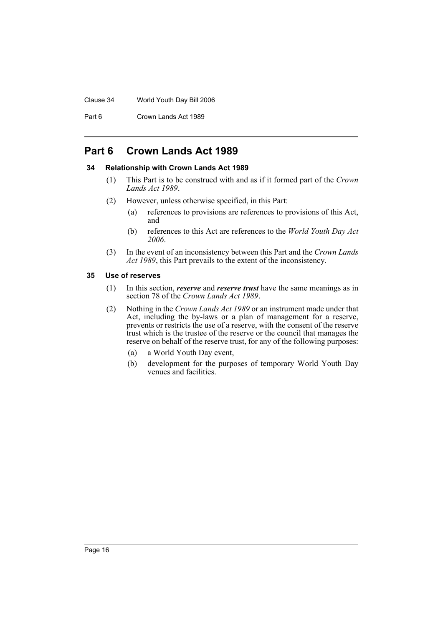#### Clause 34 World Youth Day Bill 2006

Part 6 Crown Lands Act 1989

# **Part 6 Crown Lands Act 1989**

### **34 Relationship with Crown Lands Act 1989**

- (1) This Part is to be construed with and as if it formed part of the *Crown Lands Act 1989*.
- (2) However, unless otherwise specified, in this Part:
	- (a) references to provisions are references to provisions of this Act, and
	- (b) references to this Act are references to the *World Youth Day Act 2006*.
- (3) In the event of an inconsistency between this Part and the *Crown Lands Act 1989*, this Part prevails to the extent of the inconsistency.

#### **35 Use of reserves**

- (1) In this section, *reserve* and *reserve trust* have the same meanings as in section 78 of the *Crown Lands Act 1989*.
- (2) Nothing in the *Crown Lands Act 1989* or an instrument made under that Act, including the by-laws or a plan of management for a reserve, prevents or restricts the use of a reserve, with the consent of the reserve trust which is the trustee of the reserve or the council that manages the reserve on behalf of the reserve trust, for any of the following purposes:
	- (a) a World Youth Day event,
	- (b) development for the purposes of temporary World Youth Day venues and facilities.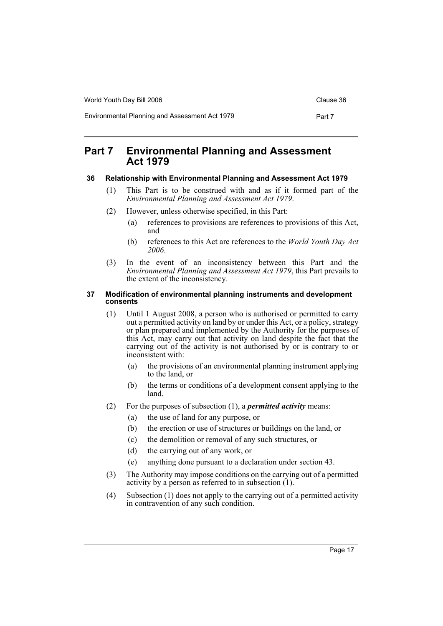World Youth Day Bill 2006 Controller Controller Clause 36

Environmental Planning and Assessment Act 1979 Part 7

# **Part 7 Environmental Planning and Assessment Act 1979**

# **36 Relationship with Environmental Planning and Assessment Act 1979**

- (1) This Part is to be construed with and as if it formed part of the *Environmental Planning and Assessment Act 1979*.
- (2) However, unless otherwise specified, in this Part:
	- (a) references to provisions are references to provisions of this Act, and
	- (b) references to this Act are references to the *World Youth Day Act 2006*.
- (3) In the event of an inconsistency between this Part and the *Environmental Planning and Assessment Act 1979*, this Part prevails to the extent of the inconsistency.

### **37 Modification of environmental planning instruments and development consents**

- (1) Until 1 August 2008, a person who is authorised or permitted to carry out a permitted activity on land by or under this Act, or a policy, strategy or plan prepared and implemented by the Authority for the purposes of this Act, may carry out that activity on land despite the fact that the carrying out of the activity is not authorised by or is contrary to or inconsistent with:
	- (a) the provisions of an environmental planning instrument applying to the land, or
	- (b) the terms or conditions of a development consent applying to the land.
- (2) For the purposes of subsection (1), a *permitted activity* means:
	- (a) the use of land for any purpose, or
	- (b) the erection or use of structures or buildings on the land, or
	- (c) the demolition or removal of any such structures, or
	- (d) the carrying out of any work, or
	- (e) anything done pursuant to a declaration under section 43.
- (3) The Authority may impose conditions on the carrying out of a permitted activity by a person as referred to in subsection (1).
- (4) Subsection (1) does not apply to the carrying out of a permitted activity in contravention of any such condition.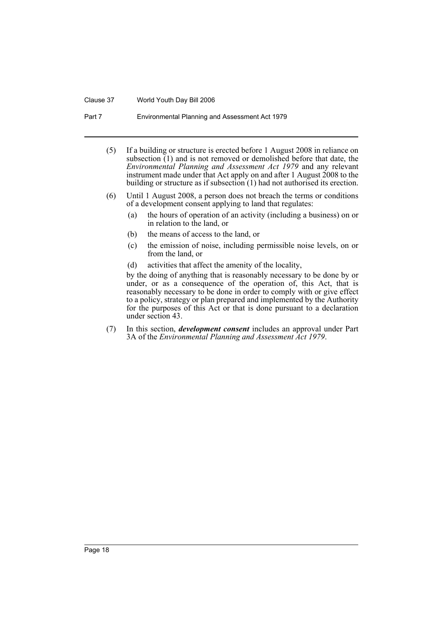#### Clause 37 World Youth Day Bill 2006

Part 7 Environmental Planning and Assessment Act 1979

- (5) If a building or structure is erected before 1 August 2008 in reliance on subsection  $(1)$  and is not removed or demolished before that date, the *Environmental Planning and Assessment Act 1979* and any relevant instrument made under that Act apply on and after 1 August 2008 to the building or structure as if subsection (1) had not authorised its erection.
- (6) Until 1 August 2008, a person does not breach the terms or conditions of a development consent applying to land that regulates:
	- (a) the hours of operation of an activity (including a business) on or in relation to the land, or
	- (b) the means of access to the land, or
	- (c) the emission of noise, including permissible noise levels, on or from the land, or
	- (d) activities that affect the amenity of the locality,

by the doing of anything that is reasonably necessary to be done by or under, or as a consequence of the operation of, this Act, that is reasonably necessary to be done in order to comply with or give effect to a policy, strategy or plan prepared and implemented by the Authority for the purposes of this Act or that is done pursuant to a declaration under section 43.

(7) In this section, *development consent* includes an approval under Part 3A of the *Environmental Planning and Assessment Act 1979*.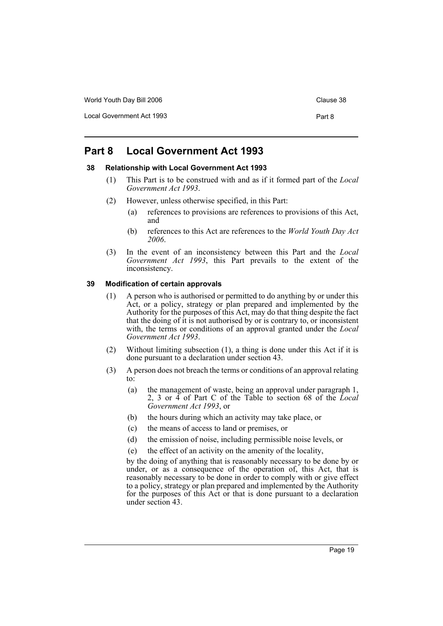World Youth Day Bill 2006 Controller Controller Clause 38

Local Government Act 1993 **Part 8** 

# **Part 8 Local Government Act 1993**

### **38 Relationship with Local Government Act 1993**

- (1) This Part is to be construed with and as if it formed part of the *Local Government Act 1993*.
- (2) However, unless otherwise specified, in this Part:
	- (a) references to provisions are references to provisions of this Act, and
	- (b) references to this Act are references to the *World Youth Day Act 2006*.
- (3) In the event of an inconsistency between this Part and the *Local Government Act 1993*, this Part prevails to the extent of the inconsistency.

### **39 Modification of certain approvals**

- (1) A person who is authorised or permitted to do anything by or under this Act, or a policy, strategy or plan prepared and implemented by the Authority for the purposes of this Act, may do that thing despite the fact that the doing of it is not authorised by or is contrary to, or inconsistent with, the terms or conditions of an approval granted under the *Local Government Act 1993*.
- (2) Without limiting subsection (1), a thing is done under this Act if it is done pursuant to a declaration under section 43.
- (3) A person does not breach the terms or conditions of an approval relating to:
	- (a) the management of waste, being an approval under paragraph 1, 2, 3 or 4 of Part C of the Table to section 68 of the *Local Government Act 1993*, or
	- (b) the hours during which an activity may take place, or
	- (c) the means of access to land or premises, or
	- (d) the emission of noise, including permissible noise levels, or
	- (e) the effect of an activity on the amenity of the locality,

by the doing of anything that is reasonably necessary to be done by or under, or as a consequence of the operation of, this Act, that is reasonably necessary to be done in order to comply with or give effect to a policy, strategy or plan prepared and implemented by the Authority for the purposes of this Act or that is done pursuant to a declaration under section 43.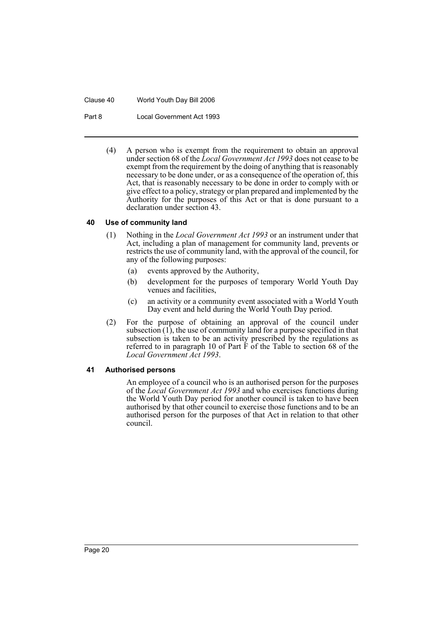Clause 40 World Youth Day Bill 2006

Part 8 Local Government Act 1993

(4) A person who is exempt from the requirement to obtain an approval under section 68 of the *Local Government Act 1993* does not cease to be exempt from the requirement by the doing of anything that is reasonably necessary to be done under, or as a consequence of the operation of, this Act, that is reasonably necessary to be done in order to comply with or give effect to a policy, strategy or plan prepared and implemented by the Authority for the purposes of this Act or that is done pursuant to a declaration under section 43.

### **40 Use of community land**

- (1) Nothing in the *Local Government Act 1993* or an instrument under that Act, including a plan of management for community land, prevents or restricts the use of community land, with the approval of the council, for any of the following purposes:
	- (a) events approved by the Authority,
	- (b) development for the purposes of temporary World Youth Day venues and facilities,
	- (c) an activity or a community event associated with a World Youth Day event and held during the World Youth Day period.
- (2) For the purpose of obtaining an approval of the council under subsection  $(1)$ , the use of community land for a purpose specified in that subsection is taken to be an activity prescribed by the regulations as referred to in paragraph 10 of Part  $\tilde{F}$  of the Table to section 68 of the *Local Government Act 1993*.

# **41 Authorised persons**

An employee of a council who is an authorised person for the purposes of the *Local Government Act 1993* and who exercises functions during the World Youth Day period for another council is taken to have been authorised by that other council to exercise those functions and to be an authorised person for the purposes of that Act in relation to that other council.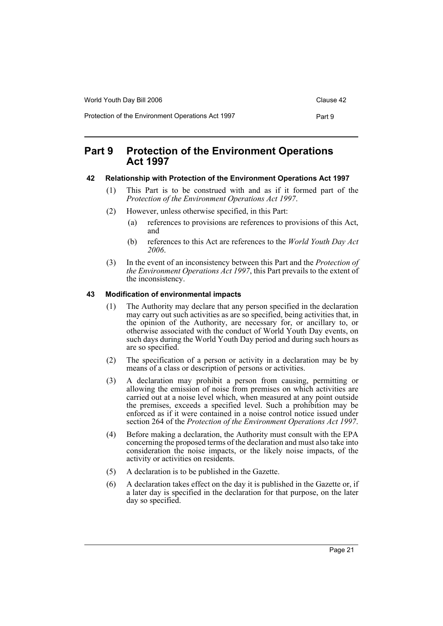| World Youth Day Bill 2006                         | Clause 42 |
|---------------------------------------------------|-----------|
| Protection of the Environment Operations Act 1997 | Part 9    |

# **Part 9 Protection of the Environment Operations Act 1997**

# **42 Relationship with Protection of the Environment Operations Act 1997**

- (1) This Part is to be construed with and as if it formed part of the *Protection of the Environment Operations Act 1997*.
- (2) However, unless otherwise specified, in this Part:
	- (a) references to provisions are references to provisions of this Act, and
	- (b) references to this Act are references to the *World Youth Day Act 2006*.
- (3) In the event of an inconsistency between this Part and the *Protection of the Environment Operations Act 1997*, this Part prevails to the extent of the inconsistency.

# **43 Modification of environmental impacts**

- (1) The Authority may declare that any person specified in the declaration may carry out such activities as are so specified, being activities that, in the opinion of the Authority, are necessary for, or ancillary to, or otherwise associated with the conduct of World Youth Day events, on such days during the World Youth Day period and during such hours as are so specified.
- (2) The specification of a person or activity in a declaration may be by means of a class or description of persons or activities.
- (3) A declaration may prohibit a person from causing, permitting or allowing the emission of noise from premises on which activities are carried out at a noise level which, when measured at any point outside the premises, exceeds a specified level. Such a prohibition may be enforced as if it were contained in a noise control notice issued under section 264 of the *Protection of the Environment Operations Act 1997*.
- (4) Before making a declaration, the Authority must consult with the EPA concerning the proposed terms of the declaration and must also take into consideration the noise impacts, or the likely noise impacts, of the activity or activities on residents.
- (5) A declaration is to be published in the Gazette.
- (6) A declaration takes effect on the day it is published in the Gazette or, if a later day is specified in the declaration for that purpose, on the later day so specified.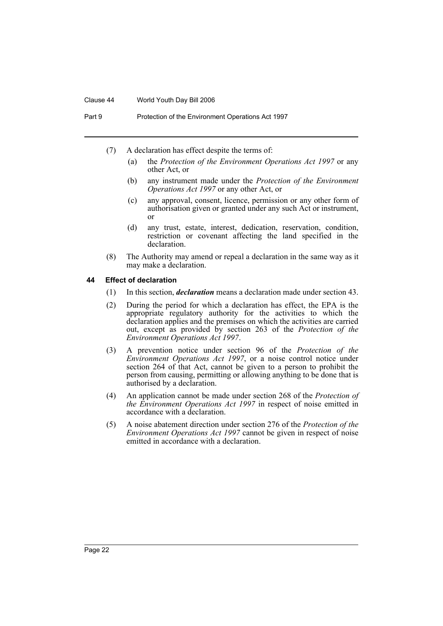#### Clause 44 World Youth Day Bill 2006

Part 9 Protection of the Environment Operations Act 1997

- (7) A declaration has effect despite the terms of:
	- (a) the *Protection of the Environment Operations Act 1997* or any other Act, or
	- (b) any instrument made under the *Protection of the Environment Operations Act 1997* or any other Act, or
	- (c) any approval, consent, licence, permission or any other form of authorisation given or granted under any such Act or instrument, or
	- (d) any trust, estate, interest, dedication, reservation, condition, restriction or covenant affecting the land specified in the declaration.
- (8) The Authority may amend or repeal a declaration in the same way as it may make a declaration.

### **44 Effect of declaration**

- (1) In this section, *declaration* means a declaration made under section 43.
- (2) During the period for which a declaration has effect, the EPA is the appropriate regulatory authority for the activities to which the declaration applies and the premises on which the activities are carried out, except as provided by section 263 of the *Protection of the Environment Operations Act 1997*.
- (3) A prevention notice under section 96 of the *Protection of the Environment Operations Act 1997*, or a noise control notice under section 264 of that Act, cannot be given to a person to prohibit the person from causing, permitting or allowing anything to be done that is authorised by a declaration.
- (4) An application cannot be made under section 268 of the *Protection of the Environment Operations Act 1997* in respect of noise emitted in accordance with a declaration.
- (5) A noise abatement direction under section 276 of the *Protection of the Environment Operations Act 1997* cannot be given in respect of noise emitted in accordance with a declaration.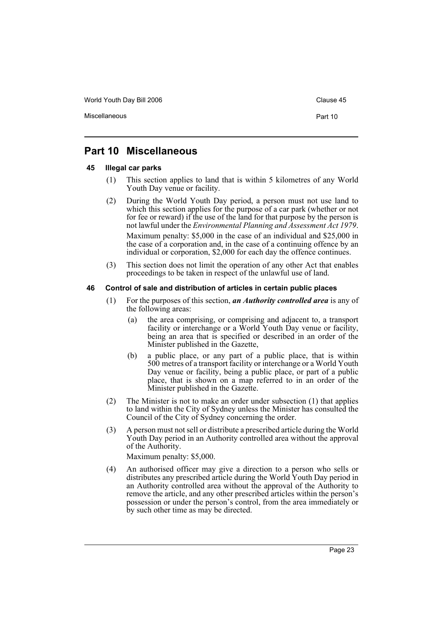World Youth Day Bill 2006 Controller Controller Clause 45

Miscellaneous **Part 10** 

# **Part 10 Miscellaneous**

### **45 Illegal car parks**

- (1) This section applies to land that is within 5 kilometres of any World Youth Day venue or facility.
- (2) During the World Youth Day period, a person must not use land to which this section applies for the purpose of a car park (whether or not for fee or reward) if the use of the land for that purpose by the person is not lawful under the *Environmental Planning and Assessment Act 1979*. Maximum penalty: \$5,000 in the case of an individual and \$25,000 in the case of a corporation and, in the case of a continuing offence by an individual or corporation, \$2,000 for each day the offence continues.
- (3) This section does not limit the operation of any other Act that enables proceedings to be taken in respect of the unlawful use of land.

#### **46 Control of sale and distribution of articles in certain public places**

- (1) For the purposes of this section, *an Authority controlled area* is any of the following areas:
	- (a) the area comprising, or comprising and adjacent to, a transport facility or interchange or a World Youth Day venue or facility, being an area that is specified or described in an order of the Minister published in the Gazette,
	- (b) a public place, or any part of a public place, that is within 500 metres of a transport facility or interchange or a World Youth Day venue or facility, being a public place, or part of a public place, that is shown on a map referred to in an order of the Minister published in the Gazette.
- (2) The Minister is not to make an order under subsection (1) that applies to land within the City of Sydney unless the Minister has consulted the Council of the City of Sydney concerning the order.
- (3) A person must not sell or distribute a prescribed article during the World Youth Day period in an Authority controlled area without the approval of the Authority.

Maximum penalty: \$5,000.

(4) An authorised officer may give a direction to a person who sells or distributes any prescribed article during the World Youth Day period in an Authority controlled area without the approval of the Authority to remove the article, and any other prescribed articles within the person's possession or under the person's control, from the area immediately or by such other time as may be directed.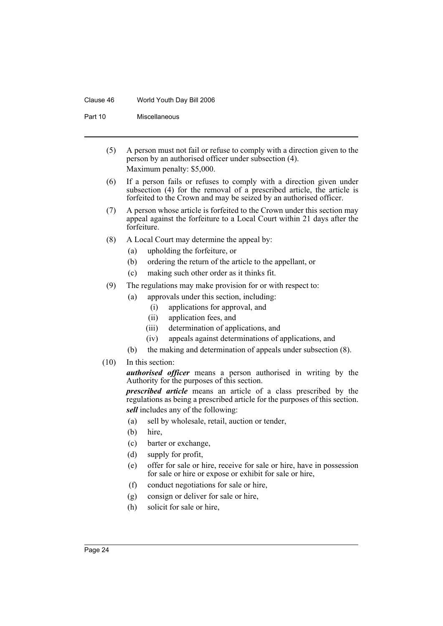#### Clause 46 World Youth Day Bill 2006

Part 10 Miscellaneous

- (5) A person must not fail or refuse to comply with a direction given to the person by an authorised officer under subsection (4). Maximum penalty: \$5,000.
- (6) If a person fails or refuses to comply with a direction given under subsection (4) for the removal of a prescribed article, the article is forfeited to the Crown and may be seized by an authorised officer.
- (7) A person whose article is forfeited to the Crown under this section may appeal against the forfeiture to a Local Court within 21 days after the forfeiture.
- (8) A Local Court may determine the appeal by:
	- (a) upholding the forfeiture, or
	- (b) ordering the return of the article to the appellant, or
	- (c) making such other order as it thinks fit.
- (9) The regulations may make provision for or with respect to:
	- (a) approvals under this section, including:
		- (i) applications for approval, and
		- (ii) application fees, and
		- (iii) determination of applications, and
		- (iv) appeals against determinations of applications, and
	- (b) the making and determination of appeals under subsection (8).
- (10) In this section:

*authorised officer* means a person authorised in writing by the Authority for the purposes of this section.

*prescribed article* means an article of a class prescribed by the regulations as being a prescribed article for the purposes of this section. *sell* includes any of the following:

- (a) sell by wholesale, retail, auction or tender,
- (b) hire,
- (c) barter or exchange,
- (d) supply for profit,
- (e) offer for sale or hire, receive for sale or hire, have in possession for sale or hire or expose or exhibit for sale or hire,
- (f) conduct negotiations for sale or hire,
- (g) consign or deliver for sale or hire,
- (h) solicit for sale or hire,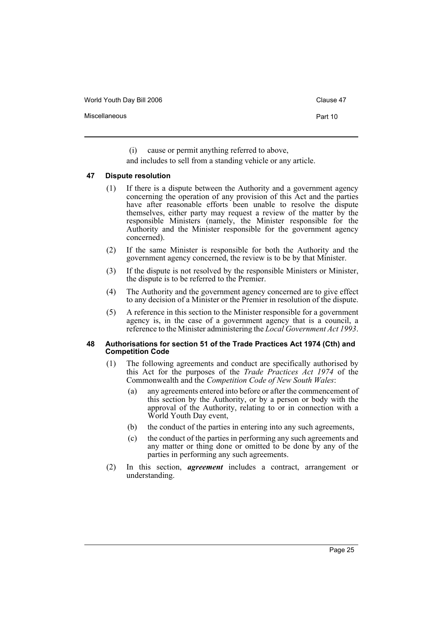World Youth Day Bill 2006 Controller Clause 47

Miscellaneous **Part 10** 

(i) cause or permit anything referred to above,

and includes to sell from a standing vehicle or any article.

#### **47 Dispute resolution**

- (1) If there is a dispute between the Authority and a government agency concerning the operation of any provision of this Act and the parties have after reasonable efforts been unable to resolve the dispute themselves, either party may request a review of the matter by the responsible Ministers (namely, the Minister responsible for the Authority and the Minister responsible for the government agency concerned).
- (2) If the same Minister is responsible for both the Authority and the government agency concerned, the review is to be by that Minister.
- (3) If the dispute is not resolved by the responsible Ministers or Minister, the dispute is to be referred to the Premier.
- (4) The Authority and the government agency concerned are to give effect to any decision of a Minister or the Premier in resolution of the dispute.
- (5) A reference in this section to the Minister responsible for a government agency is, in the case of a government agency that is a council, a reference to the Minister administering the *Local Government Act 1993*.

#### **48 Authorisations for section 51 of the Trade Practices Act 1974 (Cth) and Competition Code**

- (1) The following agreements and conduct are specifically authorised by this Act for the purposes of the *Trade Practices Act 1974* of the Commonwealth and the *Competition Code of New South Wales*:
	- (a) any agreements entered into before or after the commencement of this section by the Authority, or by a person or body with the approval of the Authority, relating to or in connection with a World Youth Day event,
	- (b) the conduct of the parties in entering into any such agreements,
	- (c) the conduct of the parties in performing any such agreements and any matter or thing done or omitted to be done by any of the parties in performing any such agreements.
- (2) In this section, *agreement* includes a contract, arrangement or understanding.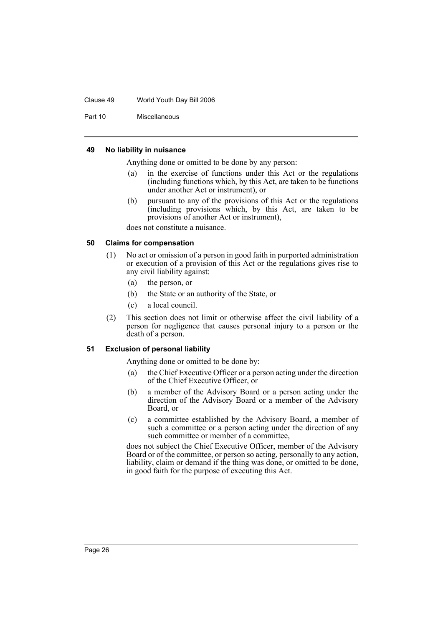#### Clause 49 World Youth Day Bill 2006

Part 10 Miscellaneous

#### **49 No liability in nuisance**

Anything done or omitted to be done by any person:

- (a) in the exercise of functions under this Act or the regulations (including functions which, by this Act, are taken to be functions under another Act or instrument), or
- (b) pursuant to any of the provisions of this Act or the regulations (including provisions which, by this Act, are taken to be provisions of another Act or instrument),

does not constitute a nuisance.

#### **50 Claims for compensation**

- (1) No act or omission of a person in good faith in purported administration or execution of a provision of this Act or the regulations gives rise to any civil liability against:
	- (a) the person, or
	- (b) the State or an authority of the State, or
	- (c) a local council.
- (2) This section does not limit or otherwise affect the civil liability of a person for negligence that causes personal injury to a person or the death of a person.

#### **51 Exclusion of personal liability**

Anything done or omitted to be done by:

- (a) the Chief Executive Officer or a person acting under the direction of the Chief Executive Officer, or
- (b) a member of the Advisory Board or a person acting under the direction of the Advisory Board or a member of the Advisory Board, or
- (c) a committee established by the Advisory Board, a member of such a committee or a person acting under the direction of any such committee or member of a committee,

does not subject the Chief Executive Officer, member of the Advisory Board or of the committee, or person so acting, personally to any action, liability, claim or demand if the thing was done, or omitted to be done, in good faith for the purpose of executing this Act.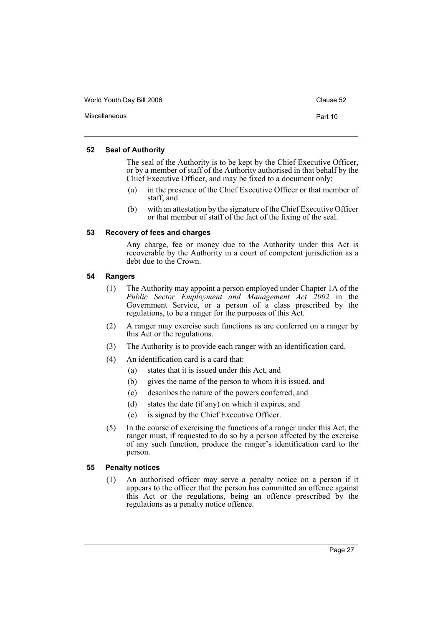World Youth Day Bill 2006 Controller Controller Clause 52

Miscellaneous **Part 10** 

# **52 Seal of Authority**

The seal of the Authority is to be kept by the Chief Executive Officer, or by a member of staff of the Authority authorised in that behalf by the Chief Executive Officer, and may be fixed to a document only:

- (a) in the presence of the Chief Executive Officer or that member of staff, and
- (b) with an attestation by the signature of the Chief Executive Officer or that member of staff of the fact of the fixing of the seal.

# **53 Recovery of fees and charges**

Any charge, fee or money due to the Authority under this Act is recoverable by the Authority in a court of competent jurisdiction as a debt due to the Crown.

# **54 Rangers**

- (1) The Authority may appoint a person employed under Chapter 1A of the *Public Sector Employment and Management Act 2002* in the Government Service, or a person of a class prescribed by the regulations, to be a ranger for the purposes of this Act.
- (2) A ranger may exercise such functions as are conferred on a ranger by this Act or the regulations.
- (3) The Authority is to provide each ranger with an identification card.
- (4) An identification card is a card that:
	- (a) states that it is issued under this Act, and
	- (b) gives the name of the person to whom it is issued, and
	- (c) describes the nature of the powers conferred, and
	- (d) states the date (if any) on which it expires, and
	- (e) is signed by the Chief Executive Officer.
- (5) In the course of exercising the functions of a ranger under this Act, the ranger must, if requested to do so by a person affected by the exercise of any such function, produce the ranger's identification card to the person.

# **55 Penalty notices**

(1) An authorised officer may serve a penalty notice on a person if it appears to the officer that the person has committed an offence against this Act or the regulations, being an offence prescribed by the regulations as a penalty notice offence.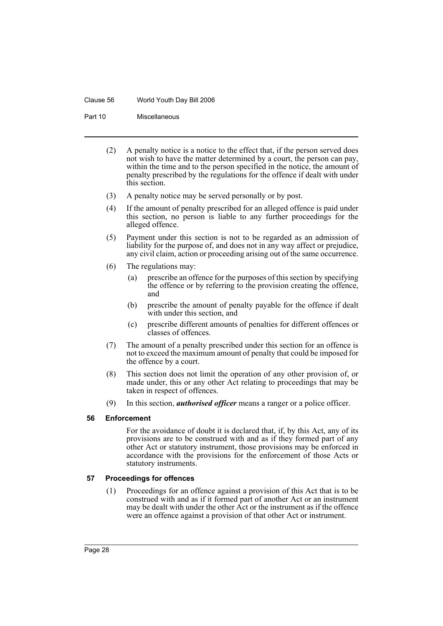#### Clause 56 World Youth Day Bill 2006

Part 10 Miscellaneous

- (2) A penalty notice is a notice to the effect that, if the person served does not wish to have the matter determined by a court, the person can pay, within the time and to the person specified in the notice, the amount of penalty prescribed by the regulations for the offence if dealt with under this section.
- (3) A penalty notice may be served personally or by post.
- (4) If the amount of penalty prescribed for an alleged offence is paid under this section, no person is liable to any further proceedings for the alleged offence.
- (5) Payment under this section is not to be regarded as an admission of liability for the purpose of, and does not in any way affect or prejudice, any civil claim, action or proceeding arising out of the same occurrence.
- (6) The regulations may:
	- (a) prescribe an offence for the purposes of this section by specifying the offence or by referring to the provision creating the offence, and
	- (b) prescribe the amount of penalty payable for the offence if dealt with under this section, and
	- (c) prescribe different amounts of penalties for different offences or classes of offences.
- (7) The amount of a penalty prescribed under this section for an offence is not to exceed the maximum amount of penalty that could be imposed for the offence by a court.
- (8) This section does not limit the operation of any other provision of, or made under, this or any other Act relating to proceedings that may be taken in respect of offences.
- (9) In this section, *authorised officer* means a ranger or a police officer.

# **56 Enforcement**

For the avoidance of doubt it is declared that, if, by this Act, any of its provisions are to be construed with and as if they formed part of any other Act or statutory instrument, those provisions may be enforced in accordance with the provisions for the enforcement of those Acts or statutory instruments.

# **57 Proceedings for offences**

(1) Proceedings for an offence against a provision of this Act that is to be construed with and as if it formed part of another Act or an instrument may be dealt with under the other Act or the instrument as if the offence were an offence against a provision of that other Act or instrument.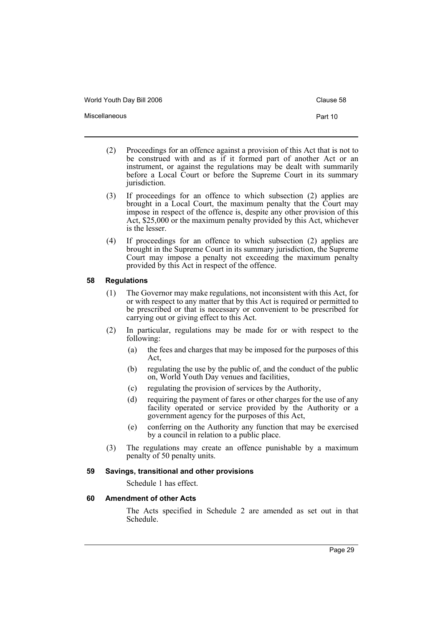World Youth Day Bill 2006 Controller Controller Clause 58

Miscellaneous **Part 10** 

- (2) Proceedings for an offence against a provision of this Act that is not to be construed with and as if it formed part of another Act or an instrument, or against the regulations may be dealt with summarily before a Local Court or before the Supreme Court in its summary jurisdiction.
- (3) If proceedings for an offence to which subsection (2) applies are brought in a Local Court, the maximum penalty that the Court may impose in respect of the offence is, despite any other provision of this Act, \$25,000 or the maximum penalty provided by this Act, whichever is the lesser.
- (4) If proceedings for an offence to which subsection (2) applies are brought in the Supreme Court in its summary jurisdiction, the Supreme Court may impose a penalty not exceeding the maximum penalty provided by this Act in respect of the offence.

## **58 Regulations**

- (1) The Governor may make regulations, not inconsistent with this Act, for or with respect to any matter that by this Act is required or permitted to be prescribed or that is necessary or convenient to be prescribed for carrying out or giving effect to this Act.
- (2) In particular, regulations may be made for or with respect to the following:
	- (a) the fees and charges that may be imposed for the purposes of this Act,
	- (b) regulating the use by the public of, and the conduct of the public on, World Youth Day venues and facilities,
	- (c) regulating the provision of services by the Authority,
	- (d) requiring the payment of fares or other charges for the use of any facility operated or service provided by the Authority or a government agency for the purposes of this Act,
	- (e) conferring on the Authority any function that may be exercised by a council in relation to a public place.
- (3) The regulations may create an offence punishable by a maximum penalty of 50 penalty units.

#### **59 Savings, transitional and other provisions**

Schedule 1 has effect.

#### **60 Amendment of other Acts**

The Acts specified in Schedule 2 are amended as set out in that Schedule.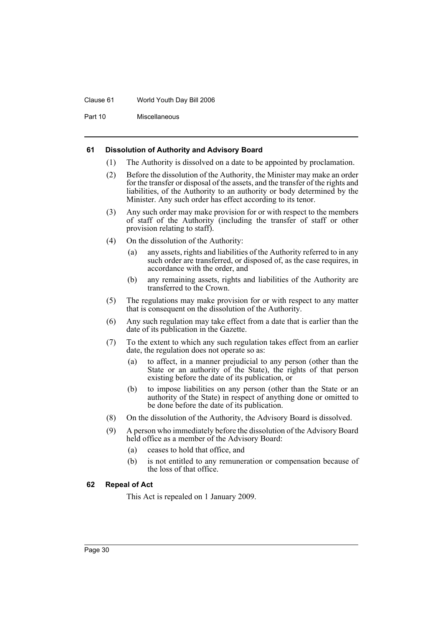#### Clause 61 World Youth Day Bill 2006

Part 10 Miscellaneous

#### **61 Dissolution of Authority and Advisory Board**

- (1) The Authority is dissolved on a date to be appointed by proclamation.
- (2) Before the dissolution of the Authority, the Minister may make an order for the transfer or disposal of the assets, and the transfer of the rights and liabilities, of the Authority to an authority or body determined by the Minister. Any such order has effect according to its tenor.
- (3) Any such order may make provision for or with respect to the members of staff of the Authority (including the transfer of staff or other provision relating to staff).
- (4) On the dissolution of the Authority:
	- (a) any assets, rights and liabilities of the Authority referred to in any such order are transferred, or disposed of, as the case requires, in accordance with the order, and
	- (b) any remaining assets, rights and liabilities of the Authority are transferred to the Crown.
- (5) The regulations may make provision for or with respect to any matter that is consequent on the dissolution of the Authority.
- (6) Any such regulation may take effect from a date that is earlier than the date of its publication in the Gazette.
- (7) To the extent to which any such regulation takes effect from an earlier date, the regulation does not operate so as:
	- (a) to affect, in a manner prejudicial to any person (other than the State or an authority of the State), the rights of that person existing before the date of its publication, or
	- (b) to impose liabilities on any person (other than the State or an authority of the State) in respect of anything done or omitted to be done before the date of its publication.
- (8) On the dissolution of the Authority, the Advisory Board is dissolved.
- (9) A person who immediately before the dissolution of the Advisory Board held office as a member of the Advisory Board:
	- (a) ceases to hold that office, and
	- (b) is not entitled to any remuneration or compensation because of the loss of that office.

# **62 Repeal of Act**

This Act is repealed on 1 January 2009.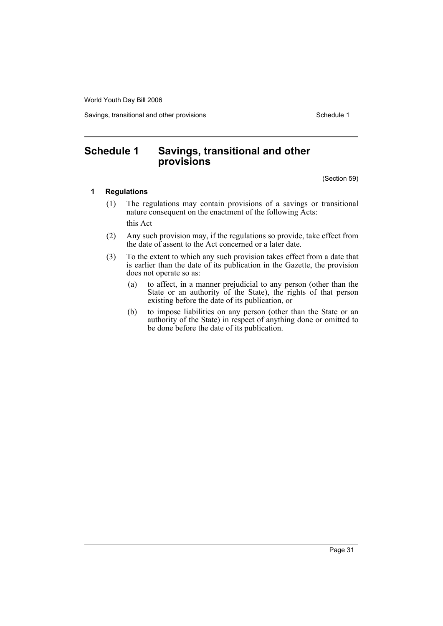World Youth Day Bill 2006

Savings, transitional and other provisions Schedule 1

# **Schedule 1 Savings, transitional and other provisions**

(Section 59)

## **1 Regulations**

- (1) The regulations may contain provisions of a savings or transitional nature consequent on the enactment of the following Acts: this Act
- (2) Any such provision may, if the regulations so provide, take effect from the date of assent to the Act concerned or a later date.
- (3) To the extent to which any such provision takes effect from a date that is earlier than the date of its publication in the Gazette, the provision does not operate so as:
	- (a) to affect, in a manner prejudicial to any person (other than the State or an authority of the State), the rights of that person existing before the date of its publication, or
	- (b) to impose liabilities on any person (other than the State or an authority of the State) in respect of anything done or omitted to be done before the date of its publication.